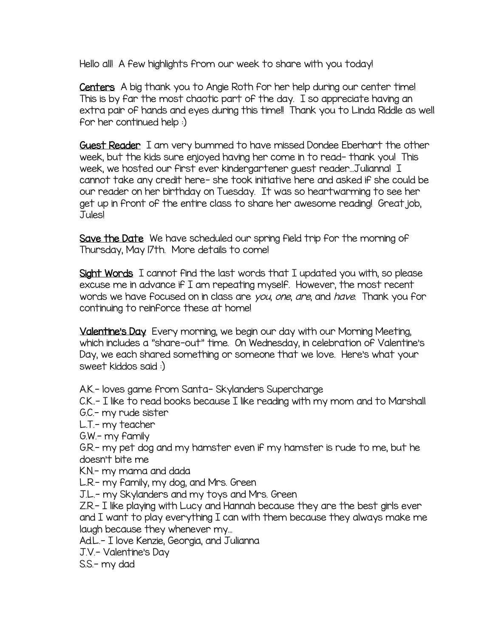Hello all! A few highlights from our week to share with you today!

Centers A big thank you to Angie Roth for her help during our center time! This is by far the most chaotic part of the day. I so appreciate having an extra pair of hands and eyes during this time!! Thank you to Linda Riddle as well for her continued help :)

Guest Reader I am very bummed to have missed Dondee Eberhart the other week, but the kids sure enjoyed having her come in to read- thank you! This week, we hosted our first ever kindergartener guest reader…Julianna! I cannot take any credit here- she took initiative here and asked if she could be our reader on her birthday on Tuesday. It was so heartwarming to see her get up in front of the entire class to share her awesome reading! Great job, Jules!

Save the Date We have scheduled our spring field trip for the morning of Thursday, May 17th. More details to come!

Sight Words I cannot find the last words that I updated you with, so please excuse me in advance if I am repeating myself. However, the most recent words we have focused on in class are you, one, are, and have. Thank you for continuing to reinforce these at home!

Valentine's Day Every morning, we begin our day with our Morning Meeting, which includes a "share-out" time. On Wednesday, in celebration of Valentine's Day, we each shared something or someone that we love. Here's what your sweet kiddos said :)

A.K.- loves game from Santa- Skylanders Supercharge

C.K..- I like to read books because I like reading with my mom and to Marshall G.C.- my rude sister

L.T.- my teacher

G.W.- my family

G.R.- my pet dog and my hamster even if my hamster is rude to me, but he doesn't bite me

K.N.- my mama and dada

L.R.- my family, my dog, and Mrs. Green

J.L.- my Skylanders and my toys and Mrs. Green

Z.R.- I like playing with Lucy and Hannah because they are the best girls ever and I want to play everything I can with them because they always make me laugh because they whenever my…

Ad.L.- I love Kenzie, Georgia, and Julianna

J.V.- Valentine's Day

S.S.- my dad